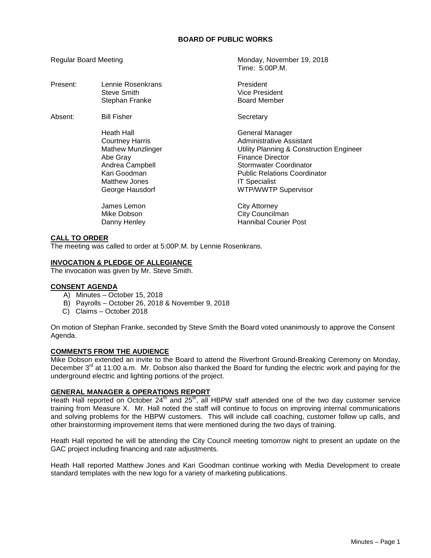# **BOARD OF PUBLIC WORKS**

Time: 5:00P.M.

Regular Board Meeting Monday, November 19, 2018

| Present: | Lennie Rosenkrans<br>Steve Smith<br>Stephan Franke                                                                                           | President<br>Vice President<br><b>Board Member</b>                                                                                                                                                                                        |
|----------|----------------------------------------------------------------------------------------------------------------------------------------------|-------------------------------------------------------------------------------------------------------------------------------------------------------------------------------------------------------------------------------------------|
| Absent:  | <b>Bill Fisher</b>                                                                                                                           | Secretary                                                                                                                                                                                                                                 |
|          | Heath Hall<br>Courtney Harris<br><b>Mathew Munzlinger</b><br>Abe Gray<br>Andrea Campbell<br>Kari Goodman<br>Matthew Jones<br>George Hausdorf | General Manager<br>Administrative Assistant<br>Utility Planning & Construction Engineer<br><b>Finance Director</b><br>Stormwater Coordinator<br><b>Public Relations Coordinator</b><br><b>IT Specialist</b><br><b>WTP/WWTP Supervisor</b> |
|          | James Lemon<br>Mike Dobson<br>Danny Henley                                                                                                   | City Attorney<br>City Councilman<br><b>Hannibal Courier Post</b>                                                                                                                                                                          |

# **CALL TO ORDER**

The meeting was called to order at 5:00P.M. by Lennie Rosenkrans.

## **INVOCATION & PLEDGE OF ALLEGIANCE**

The invocation was given by Mr. Steve Smith.

## **CONSENT AGENDA**

- A) Minutes October 15, 2018
- B) Payrolls October 26, 2018 & November 9, 2018
- C) Claims October 2018

On motion of Stephan Franke, seconded by Steve Smith the Board voted unanimously to approve the Consent Agenda.

## **COMMENTS FROM THE AUDIENCE**

Mike Dobson extended an invite to the Board to attend the Riverfront Ground-Breaking Ceremony on Monday, December  $3<sup>rd</sup>$  at 11:00 a.m. Mr. Dobson also thanked the Board for funding the electric work and paying for the underground electric and lighting portions of the project.

# **GENERAL MANAGER & OPERATIONS REPORT**

Heath Hall reported on October 24<sup>th</sup> and 25<sup>th</sup>, all HBPW staff attended one of the two day customer service training from Measure X. Mr. Hall noted the staff will continue to focus on improving internal communications and solving problems for the HBPW customers. This will include call coaching, customer follow up calls, and other brainstorming improvement items that were mentioned during the two days of training.

Heath Hall reported he will be attending the City Council meeting tomorrow night to present an update on the GAC project including financing and rate adjustments.

Heath Hall reported Matthew Jones and Kari Goodman continue working with Media Development to create standard templates with the new logo for a variety of marketing publications.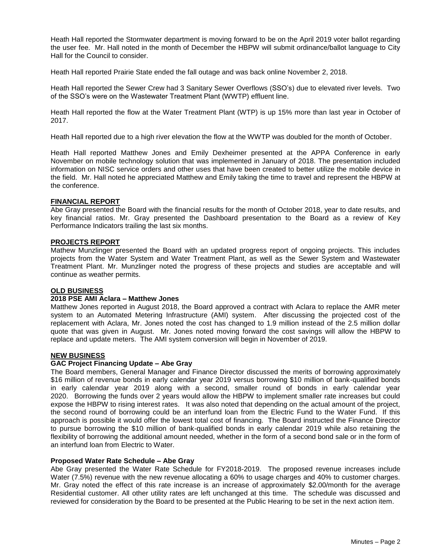Heath Hall reported the Stormwater department is moving forward to be on the April 2019 voter ballot regarding the user fee. Mr. Hall noted in the month of December the HBPW will submit ordinance/ballot language to City Hall for the Council to consider.

Heath Hall reported Prairie State ended the fall outage and was back online November 2, 2018.

Heath Hall reported the Sewer Crew had 3 Sanitary Sewer Overflows (SSO's) due to elevated river levels. Two of the SSO's were on the Wastewater Treatment Plant (WWTP) effluent line.

Heath Hall reported the flow at the Water Treatment Plant (WTP) is up 15% more than last year in October of 2017.

Heath Hall reported due to a high river elevation the flow at the WWTP was doubled for the month of October.

Heath Hall reported Matthew Jones and Emily Dexheimer presented at the APPA Conference in early November on mobile technology solution that was implemented in January of 2018. The presentation included information on NISC service orders and other uses that have been created to better utilize the mobile device in the field. Mr. Hall noted he appreciated Matthew and Emily taking the time to travel and represent the HBPW at the conference.

## **FINANCIAL REPORT**

Abe Gray presented the Board with the financial results for the month of October 2018, year to date results, and key financial ratios. Mr. Gray presented the Dashboard presentation to the Board as a review of Key Performance Indicators trailing the last six months.

# **PROJECTS REPORT**

Mathew Munzlinger presented the Board with an updated progress report of ongoing projects. This includes projects from the Water System and Water Treatment Plant, as well as the Sewer System and Wastewater Treatment Plant. Mr. Munzlinger noted the progress of these projects and studies are acceptable and will continue as weather permits.

# **OLD BUSINESS**

#### **2018 PSE AMI Aclara – Matthew Jones**

Matthew Jones reported in August 2018, the Board approved a contract with Aclara to replace the AMR meter system to an Automated Metering Infrastructure (AMI) system. After discussing the projected cost of the replacement with Aclara, Mr. Jones noted the cost has changed to 1.9 million instead of the 2.5 million dollar quote that was given in August. Mr. Jones noted moving forward the cost savings will allow the HBPW to replace and update meters. The AMI system conversion will begin in November of 2019.

### **NEW BUSINESS**

## **GAC Project Financing Update – Abe Gray**

The Board members, General Manager and Finance Director discussed the merits of borrowing approximately \$16 million of revenue bonds in early calendar year 2019 versus borrowing \$10 million of bank-qualified bonds in early calendar year 2019 along with a second, smaller round of bonds in early calendar year 2020. Borrowing the funds over 2 years would allow the HBPW to implement smaller rate increases but could expose the HBPW to rising interest rates. It was also noted that depending on the actual amount of the project, the second round of borrowing could be an interfund loan from the Electric Fund to the Water Fund. If this approach is possible it would offer the lowest total cost of financing. The Board instructed the Finance Director to pursue borrowing the \$10 million of bank-qualified bonds in early calendar 2019 while also retaining the flexibility of borrowing the additional amount needed, whether in the form of a second bond sale or in the form of an interfund loan from Electric to Water.

### **Proposed Water Rate Schedule – Abe Gray**

Abe Gray presented the Water Rate Schedule for FY2018-2019. The proposed revenue increases include Water (7.5%) revenue with the new revenue allocating a 60% to usage charges and 40% to customer charges. Mr. Gray noted the effect of this rate increase is an increase of approximately \$2.00/month for the average Residential customer. All other utility rates are left unchanged at this time. The schedule was discussed and reviewed for consideration by the Board to be presented at the Public Hearing to be set in the next action item.